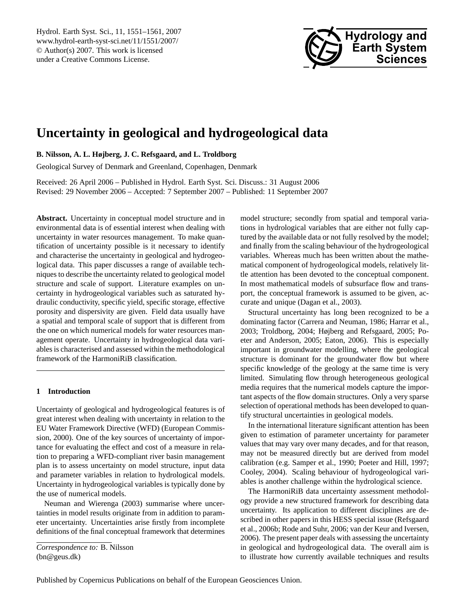<span id="page-0-0"></span>Hydrol. Earth Syst. Sci., 11, 1551–1561, 2007 www.hydrol-earth-syst-sci.net/11/1551/2007/ © Author(s) 2007. This work is licensed under a Creative Commons License.



# **Uncertainty in geological and hydrogeological data**

**B. Nilsson, A. L. Højberg, J. C. Refsgaard, and L. Troldborg**

Geological Survey of Denmark and Greenland, Copenhagen, Denmark

Received: 26 April 2006 – Published in Hydrol. Earth Syst. Sci. Discuss.: 31 August 2006 Revised: 29 November 2006 – Accepted: 7 September 2007 – Published: 11 September 2007

**Abstract.** Uncertainty in conceptual model structure and in environmental data is of essential interest when dealing with uncertainty in water resources management. To make quantification of uncertainty possible is it necessary to identify and characterise the uncertainty in geological and hydrogeological data. This paper discusses a range of available techniques to describe the uncertainty related to geological model structure and scale of support. Literature examples on uncertainty in hydrogeological variables such as saturated hydraulic conductivity, specific yield, specific storage, effective porosity and dispersivity are given. Field data usually have a spatial and temporal scale of support that is different from the one on which numerical models for water resources management operate. Uncertainty in hydrogeological data variables is characterised and assessed within the methodological framework of the HarmoniRiB classification.

## **1 Introduction**

Uncertainty of geological and hydrogeological features is of great interest when dealing with uncertainty in relation to the EU Water Framework Directive (WFD) (European Commission, 2000). One of the key sources of uncertainty of importance for evaluating the effect and cost of a measure in relation to preparing a WFD-compliant river basin management plan is to assess uncertainty on model structure, input data and parameter variables in relation to hydrological models. Uncertainty in hydrogeological variables is typically done by the use of numerical models.

Neuman and Wierenga (2003) summarise where uncertainties in model results originate from in addition to parameter uncertainty. Uncertainties arise firstly from incomplete definitions of the final conceptual framework that determines

*Correspondence to:* B. Nilsson (bn@geus.dk)

model structure; secondly from spatial and temporal variations in hydrological variables that are either not fully captured by the available data or not fully resolved by the model; and finally from the scaling behaviour of the hydrogeological variables. Whereas much has been written about the mathematical component of hydrogeological models, relatively little attention has been devoted to the conceptual component. In most mathematical models of subsurface flow and transport, the conceptual framework is assumed to be given, accurate and unique (Dagan et al., 2003).

Structural uncertainty has long been recognized to be a dominating factor (Carrera and Neuman, 1986; Harrar et al., 2003; Troldborg, 2004; Højberg and Refsgaard, 2005; Poeter and Anderson, 2005; Eaton, 2006). This is especially important in groundwater modelling, where the geological structure is dominant for the groundwater flow but where specific knowledge of the geology at the same time is very limited. Simulating flow through heterogeneous geological media requires that the numerical models capture the important aspects of the flow domain structures. Only a very sparse selection of operational methods has been developed to quantify structural uncertainties in geological models.

In the international literature significant attention has been given to estimation of parameter uncertainty for parameter values that may vary over many decades, and for that reason, may not be measured directly but are derived from model calibration (e.g. Samper et al., 1990; Poeter and Hill, 1997; Cooley, 2004). Scaling behaviour of hydrogeological variables is another challenge within the hydrological science.

The HarmoniRiB data uncertainty assessment methodology provide a new structured framework for describing data uncertainty. Its application to different disciplines are described in other papers in this HESS special issue (Refsgaard et al., 2006b; Rode and Suhr, 2006; van der Keur and Iversen, 2006). The present paper deals with assessing the uncertainty in geological and hydrogeological data. The overall aim is to illustrate how currently available techniques and results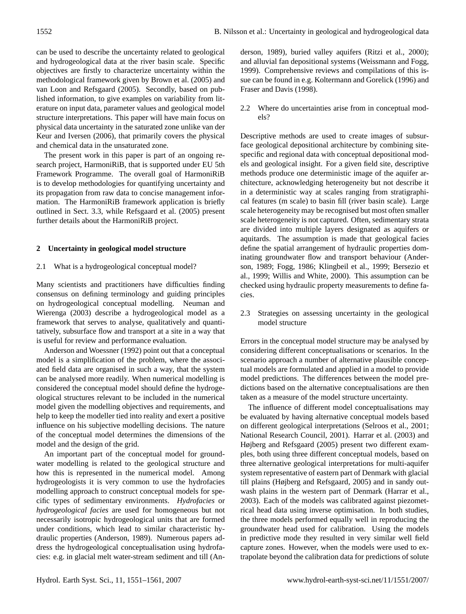can be used to describe the uncertainty related to geological and hydrogeological data at the river basin scale. Specific objectives are firstly to characterize uncertainty within the methodological framework given by Brown et al. (2005) and van Loon and Refsgaard (2005). Secondly, based on published information, to give examples on variability from literature on input data, parameter values and geological model structure interpretations. This paper will have main focus on physical data uncertainty in the saturated zone unlike van der Keur and Iversen (2006), that primarily covers the physical and chemical data in the unsaturated zone.

The present work in this paper is part of an ongoing research project, HarmoniRiB, that is supported under EU 5th Framework Programme. The overall goal of HarmoniRiB is to develop methodologies for quantifying uncertainty and its propagation from raw data to concise management information. The HarmoniRiB framework application is briefly outlined in Sect. 3.3, while Refsgaard et al. (2005) present further details about the HarmoniRiB project.

# **2 Uncertainty in geological model structure**

## 2.1 What is a hydrogeological conceptual model?

Many scientists and practitioners have difficulties finding consensus on defining terminology and guiding principles on hydrogeological conceptual modelling. Neuman and Wierenga (2003) describe a hydrogeological model as a framework that serves to analyse, qualitatively and quantitatively, subsurface flow and transport at a site in a way that is useful for review and performance evaluation.

Anderson and Woessner (1992) point out that a conceptual model is a simplification of the problem, where the associated field data are organised in such a way, that the system can be analysed more readily. When numerical modelling is considered the conceptual model should define the hydrogeological structures relevant to be included in the numerical model given the modelling objectives and requirements, and help to keep the modeller tied into reality and exert a positive influence on his subjective modelling decisions. The nature of the conceptual model determines the dimensions of the model and the design of the grid.

An important part of the conceptual model for groundwater modelling is related to the geological structure and how this is represented in the numerical model. Among hydrogeologists it is very common to use the hydrofacies modelling approach to construct conceptual models for specific types of sedimentary environments. *Hydrofacies* or *hydrogeological facies* are used for homogeneous but not necessarily isotropic hydrogeological units that are formed under conditions, which lead to similar characteristic hydraulic properties (Anderson, 1989). Numerous papers address the hydrogeological conceptualisation using hydrofacies: e.g. in glacial melt water-stream sediment and till (An-

derson, 1989), buried valley aquifers (Ritzi et al., 2000); and alluvial fan depositional systems (Weissmann and Fogg, 1999). Comprehensive reviews and compilations of this issue can be found in e.g. Koltermann and Gorelick (1996) and Fraser and Davis (1998).

2.2 Where do uncertainties arise from in conceptual models?

Descriptive methods are used to create images of subsurface geological depositional architecture by combining sitespecific and regional data with conceptual depositional models and geological insight. For a given field site, descriptive methods produce one deterministic image of the aquifer architecture, acknowledging heterogeneity but not describe it in a deterministic way at scales ranging from stratigraphical features (m scale) to basin fill (river basin scale). Large scale heterogeneity may be recognised but most often smaller scale heterogeneity is not captured. Often, sedimentary strata are divided into multiple layers designated as aquifers or aquitards. The assumption is made that geological facies define the spatial arrangement of hydraulic properties dominating groundwater flow and transport behaviour (Anderson, 1989; Fogg, 1986; Klingbeil et al., 1999; Bersezio et al., 1999; Willis and White, 2000). This assumption can be checked using hydraulic property measurements to define facies.

2.3 Strategies on assessing uncertainty in the geological model structure

Errors in the conceptual model structure may be analysed by considering different conceptualisations or scenarios. In the scenario approach a number of alternative plausible conceptual models are formulated and applied in a model to provide model predictions. The differences between the model predictions based on the alternative conceptualisations are then taken as a measure of the model structure uncertainty.

The influence of different model conceptualisations may be evaluated by having alternative conceptual models based on different geological interpretations (Selroos et al., 2001; National Research Council, 2001). Harrar et al. (2003) and Højberg and Refsgaard (2005) present two different examples, both using three different conceptual models, based on three alternative geological interpretations for multi-aquifer system representative of eastern part of Denmark with glacial till plains (Højberg and Refsgaard, 2005) and in sandy outwash plains in the western part of Denmark (Harrar et al., 2003). Each of the models was calibrated against piezometrical head data using inverse optimisation. In both studies, the three models performed equally well in reproducing the groundwater head used for calibration. Using the models in predictive mode they resulted in very similar well field capture zones. However, when the models were used to extrapolate beyond the calibration data for predictions of solute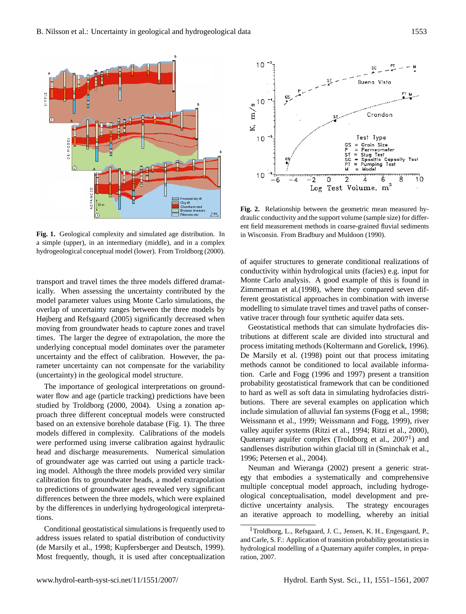

a simple (upper), in an intermediary (middle), and in a complex d simple (apper), in an intermediary (imadic), and in a complex discussed by discussed by discussed by discussed by discussed by discussed by discussed by discussed by discussed by discussed by discussed by discussed by di **Fig. 1.** Geological complexity and simulated age distribution. In

overlap of uncertainty ranges between the three models by transport and travel times the three models differed dramatically. When assessing the uncertainty contributed by the model parameter values using Monte Carlo simulations, the Højberg and Refsgaard (2005) significantly decreased when moving from groundwater heads to capture zones and travel times. The larger the degree of extrapolation, the more the underlying conceptual model dominates over the parameter uncertainty and the effect of calibration. However, the parameter uncertainty can not compensate for the variability (uncertainty) in the geological model structure.

The importance of geological interpretations on groundwater flow and age (particle tracking) predictions have been studied by Troldborg (2000, 2004). Using a zonation approach three different conceptual models were constructed based on an extensive borehole database (Fig. 1). The three models differed in complexity. Calibrations of the models were performed using inverse calibration against hydraulic head and discharge measurements. Numerical simulation of groundwater age was carried out using a particle tracking model. Although the three models provided very similar calibration fits to groundwater heads, a model extrapolation to predictions of groundwater ages revealed very significant differences between the three models, which were explained by the differences in underlying hydrogeological interpretations.

Conditional geostatistical simulations is frequently used to address issues related to spatial distribution of conductivity (de Marsily et al., 1998; Kupfersberger and Deutsch, 1999). Most frequently, though, it is used after conceptualization



 $\frac{1}{\text{Binomial state}}$   $\text{Fig. 2.}$  Relationship between the geometric mean measured hyent field measurement methods in coarse-grained fluvial sediments<br>  $\mathbf{F} = \mathbf{F} \cdot \mathbf{F} \cdot \mathbf{F} \cdot \mathbf{F} \cdot \mathbf{F} \cdot \mathbf{F} \cdot \mathbf{F} \cdot \mathbf{F} \cdot \mathbf{F} \cdot \mathbf{F} \cdot \mathbf{F} \cdot \mathbf{F} \cdot \mathbf{F} \cdot \mathbf{F} \cdot \mathbf{F} \cdot \mathbf{F} \cdot \mathbf{F} \cdot \mathbf{F} \cdot \mathbf$ draulic conductivity and the support volume (sample size) for differin Wisconsin. From Bradbury and Muldoon (1990).

of aquifer structures to generate conditional realizations of conductivity within hydrological units (facies) e.g. input for Monte Carlo analysis. A good example of this is found in Zimmerman et al.(1998), where they compared seven different geostatistical approaches in combination with inverse modelling to simulate travel times and travel paths of conservative tracer through four synthetic aquifer data sets.

Geostatistical methods that can simulate hydrofacies distributions at different scale are divided into structural and process imitating methods (Koltermann and Gorelick, 1996). De Marsily et al. (1998) point out that process imitating methods cannot be conditioned to local available information. Carle and Fogg (1996 and 1997) present a transition probability geostatistical framework that can be conditioned to hard as well as soft data in simulating hydrofacies distributions. There are several examples on application which include simulation of alluvial fan systems (Fogg et al., 1998; Weissmann et al., 1999; Weissmann and Fogg, 1999), river valley aquifer systems (Ritzi et al., 1994; Ritzi et al., 2000), Quaternary aquifer complex (Troldborg et al.,  $2007<sup>1</sup>$  $2007<sup>1</sup>$  $2007<sup>1</sup>$ ) and sandlenses distribution within glacial till in (Sminchak et al., 1996; Petersen et al., 2004).

 $\epsilon$  extrapolation egy that embodies a systematically and comprehensive were explained ological conceptualisation, model development and pre-Neuman and Wieranga (2002) present a generic stratmultiple conceptual model approach, including hydrogedictive uncertainty analysis. The strategy encourages an iterative approach to modelling, whereby an initial

<span id="page-2-0"></span><sup>&</sup>lt;sup>1</sup>Troldborg, L., Refsgaard, J. C., Jensen, K. H., Engesgaard, P.,  $C_{\text{sub}}$  Carles S. E., Application of transition apply little acceptation in and Carle, S. F.: Application of transition probability geostatistics in hydrological modelling of a Quaternary aquifer complex, in preparation, 2007.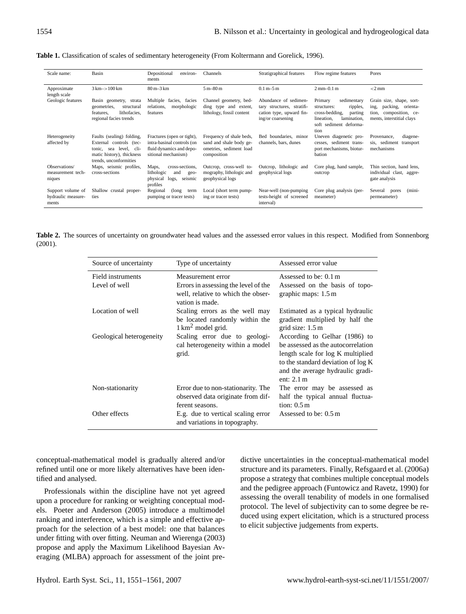|  |  |  |  |  |  | Table 1. Classification of scales of sedimentary heterogeneity (From Koltermann and Gorelick, 1996). |
|--|--|--|--|--|--|------------------------------------------------------------------------------------------------------|
|--|--|--|--|--|--|------------------------------------------------------------------------------------------------------|

| Scale name:                                      | Basin                                                                                                                                       | Depositional<br>environ-<br>ments                                                                           | Channels                                                                                      | Stratigraphical features                                                                             | Flow regime features                                                                                                                          | Pores                                                                                                           |
|--------------------------------------------------|---------------------------------------------------------------------------------------------------------------------------------------------|-------------------------------------------------------------------------------------------------------------|-----------------------------------------------------------------------------------------------|------------------------------------------------------------------------------------------------------|-----------------------------------------------------------------------------------------------------------------------------------------------|-----------------------------------------------------------------------------------------------------------------|
| Approximate<br>length scale                      | $3 \text{ km} \rightarrow 100 \text{ km}$                                                                                                   | $80 \text{ m} - 3 \text{ km}$                                                                               | $5 m - 80 m$                                                                                  | $0.1 m - 5 m$                                                                                        | $2$ mm $-0.1$ m                                                                                                                               | $<$ 2 mm                                                                                                        |
| Geologic features                                | Basin geometry,<br>strata<br>geometries,<br>structural<br>lithofacies.<br>features.<br>regional facies trends                               | Multiple facies,<br>facies<br>relations,<br>morphologic<br>features                                         | Channel geometry, bed-<br>ding type and extent,<br>lithology, fossil content                  | Abundance of sedimen-<br>tary structures, stratifi-<br>cation type, upward fin-<br>ing/or coarsening | Primary<br>sedimentary<br>ripples,<br>structures:<br>cross-bedding.<br>parting<br>lineation,<br>lamination.<br>soft sediment deforma-<br>tion | Grain size, shape, sort-<br>packing, orienta-<br>ing,<br>composition, ce-<br>tion.<br>ments, interstitial clays |
| Heterogeneity<br>affected by                     | Faults (sealing) folding,<br>External controls (tec-<br>tonic.<br>level. cli-<br>sea<br>matic history), thickness<br>trends, unconformities | Fractures (open or tight),<br>intra-basinal controls (on<br>fluid dynamics and depo-<br>sitional mechanism) | Frequency of shale beds,<br>sand and shale body ge-<br>ometries, sediment load<br>composition | Bed boundaries, minor<br>channels, bars, dunes                                                       | Uneven diagenetic pro-<br>sediment trans-<br>cesses.<br>port mechanisms, biotur-<br>bation                                                    | diagene-<br>Provenance.<br>sis, sediment<br>transport<br>mechanisms                                             |
| Observations/<br>measurement tech-<br>niques     | Maps, seismic profiles,<br>cross-sections                                                                                                   | Maps,<br>cross-sections.<br>lithologic<br>and<br>geo-<br>physical<br>logs,<br>seismic<br>profiles           | Outcrop, cross-well to-<br>mography, lithologic and<br>geophysical logs                       | Outcrop, lithologic and<br>geophysical logs                                                          | Core plug, hand sample,<br>outcrop                                                                                                            | Thin section, hand lens,<br>individual clast, aggre-<br>gate analysis                                           |
| Support volume of<br>hydraulic measure-<br>ments | Shallow crustal proper-<br>ties                                                                                                             | Regional<br>long<br>term<br>pumping or tracer tests)                                                        | Local (short term pump-<br>ing or tracer tests)                                               | Near-well (non-pumping)<br>tests-height of screened<br>interval)                                     | Core plug analysis (per-<br>meameter)                                                                                                         | Several<br>$(mini-$<br>pores<br>permeameter)                                                                    |

Table 2. The sources of uncertainty on groundwater head values and the assessed error values in this respect. Modified from Sonnenborg (2001).

| Source of uncertainty    | Type of uncertainty                                                                              | Assessed error value                                                                                                                                                                                       |
|--------------------------|--------------------------------------------------------------------------------------------------|------------------------------------------------------------------------------------------------------------------------------------------------------------------------------------------------------------|
| Field instruments        | Measurement error                                                                                | Assessed to be: 0.1 m                                                                                                                                                                                      |
| Level of well            | Errors in assessing the level of the<br>well, relative to which the obser-<br>vation is made.    | Assessed on the basis of topo-<br>graphic maps: 1.5 m                                                                                                                                                      |
| Location of well         | Scaling errors as the well may<br>be located randomly within the<br>$1 \text{ km}^2$ model grid. | Estimated as a typical hydraulic<br>gradient multiplied by half the<br>grid size: $1.5 \text{ m}$                                                                                                          |
| Geological heterogeneity | Scaling error due to geologi-<br>cal heterogeneity within a model<br>grid.                       | According to Gelhar (1986) to<br>be assessed as the autocorrelation<br>length scale for log K multiplied<br>to the standard deviation of log K<br>and the average hydraulic gradi-<br>ent: $2.1 \text{ m}$ |
| Non-stationarity         | Error due to non-stationarity. The<br>observed data originate from dif-<br>ferent seasons.       | The error may be assessed as<br>half the typical annual fluctua-<br>tion: $0.5 \text{ m}$                                                                                                                  |
| Other effects            | E.g. due to vertical scaling error<br>and variations in topography.                              | Assessed to be: 0.5 m                                                                                                                                                                                      |

conceptual-mathematical model is gradually altered and/or refined until one or more likely alternatives have been identified and analysed.

Professionals within the discipline have not yet agreed upon a procedure for ranking or weighting conceptual models. Poeter and Anderson (2005) introduce a multimodel ranking and interference, which is a simple and effective approach for the selection of a best model: one that balances under fitting with over fitting. Neuman and Wierenga (2003) propose and apply the Maximum Likelihood Bayesian Averaging (MLBA) approach for assessment of the joint predictive uncertainties in the conceptual-mathematical model structure and its parameters. Finally, Refsgaard et al. (2006a) propose a strategy that combines multiple conceptual models and the pedigree approach (Funtowicz and Ravetz, 1990) for assessing the overall tenability of models in one formalised protocol. The level of subjectivity can to some degree be reduced using expert elicitation, which is a structured process to elicit subjective judgements from experts.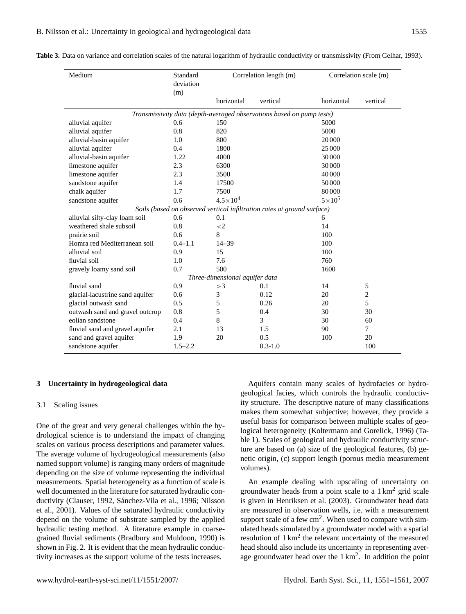| Medium                          | Standard<br>deviation<br>(m) | Correlation length (m)         |                                                                         | Correlation scale (m) |                |
|---------------------------------|------------------------------|--------------------------------|-------------------------------------------------------------------------|-----------------------|----------------|
|                                 |                              | horizontal                     | vertical                                                                | horizontal            | vertical       |
|                                 |                              |                                | Transmissivity data (depth-averaged observations based on pump tests)   |                       |                |
| alluvial aquifer                | 0.6                          | 150                            |                                                                         | 5000                  |                |
| alluvial aquifer                | 0.8                          | 820                            |                                                                         | 5000                  |                |
| alluvial-basin aquifer          | 1.0                          | 800                            |                                                                         | 20 000                |                |
| alluvial aquifer                | 0.4                          | 1800                           |                                                                         | 25 000                |                |
| alluvial-basin aquifer          | 1.22                         | 4000                           |                                                                         | 30 000                |                |
| limestone aquifer               | 2.3                          | 6300                           |                                                                         | 30 000                |                |
| limestone aquifer               | 2.3                          | 3500                           |                                                                         | 40 000                |                |
| sandstone aquifer               | 1.4                          | 17500                          |                                                                         | 50000                 |                |
| chalk aquifer                   | 1.7                          | 7500                           |                                                                         | 80000                 |                |
| sandstone aquifer               | 0.6                          | $4.5 \times 10^{4}$            |                                                                         | $5 \times 10^5$       |                |
|                                 |                              |                                | Soils (based on observed vertical infiltration rates at ground surface) |                       |                |
| alluvial silty-clay loam soil   | 0.6                          | 0.1                            |                                                                         | 6                     |                |
| weathered shale subsoil         | 0.8                          | $\leq$ 2                       |                                                                         | 14                    |                |
| prairie soil                    | 0.6                          | 8                              |                                                                         | 100                   |                |
| Homra red Mediterranean soil    | $0.4 - 1.1$                  | $14 - 39$                      |                                                                         | 100                   |                |
| alluvial soil                   | 0.9                          | 15                             |                                                                         | 100                   |                |
| fluvial soil                    | 1.0                          | 7.6                            |                                                                         | 760                   |                |
| gravely loamy sand soil         | 0.7                          | 500                            |                                                                         | 1600                  |                |
|                                 |                              | Three-dimensional aquifer data |                                                                         |                       |                |
| fluvial sand                    | 0.9                          | >3                             | 0.1                                                                     | 14                    | 5              |
| glacial-lacustrine sand aquifer | 0.6                          | 3                              | 0.12                                                                    | 20                    | $\overline{2}$ |
| glacial outwash sand            | 0.5                          | 5                              | 0.26                                                                    | 20                    | 5              |
| outwash sand and gravel outcrop | 0.8                          | 5                              | 0.4                                                                     | 30                    | 30             |
| eolian sandstone                | 0.4                          | 8                              | 3                                                                       | 30                    | 60             |
| fluvial sand and gravel aquifer | 2.1                          | 13                             | 1.5                                                                     | 90                    | $\tau$         |
| sand and gravel aquifer         | 1.9                          | 20                             | 0.5                                                                     | 100                   | 20             |
| sandstone aquifer               | $1.5 - 2.2$                  |                                | $0.3 - 1.0$                                                             |                       | 100            |

**Table 3.** Data on variance and correlation scales of the natural logarithm of hydraulic conductivity or transmissivity (From Gelhar, 1993).

## **3 Uncertainty in hydrogeological data**

## 3.1 Scaling issues

One of the great and very general challenges within the hydrological science is to understand the impact of changing scales on various process descriptions and parameter values. The average volume of hydrogeological measurements (also named support volume) is ranging many orders of magnitude depending on the size of volume representing the individual measurements. Spatial heterogeneity as a function of scale is well documented in the literature for saturated hydraulic conductivity (Clauser, 1992, Sánchez-Vila et al., 1996; Nilsson et al., 2001). Values of the saturated hydraulic conductivity depend on the volume of substrate sampled by the applied hydraulic testing method. A literature example in coarsegrained fluvial sediments (Bradbury and Muldoon, 1990) is shown in Fig. 2. It is evident that the mean hydraulic conductivity increases as the support volume of the tests increases.

Aquifers contain many scales of hydrofacies or hydrogeological facies, which controls the hydraulic conductivity structure. The descriptive nature of many classifications makes them somewhat subjective; however, they provide a useful basis for comparison between multiple scales of geological heterogeneity (Koltermann and Gorelick, 1996) (Table 1). Scales of geological and hydraulic conductivity structure are based on (a) size of the geological features, (b) genetic origin, (c) support length (porous media measurement volumes).

An example dealing with upscaling of uncertainty on groundwater heads from a point scale to a  $1 \text{ km}^2$  grid scale is given in Henriksen et al. (2003). Groundwater head data are measured in observation wells, i.e. with a measurement support scale of a few  $cm<sup>2</sup>$ . When used to compare with simulated heads simulated by a groundwater model with a spatial resolution of  $1 \text{ km}^2$  the relevant uncertainty of the measured head should also include its uncertainty in representing average groundwater head over the  $1 \text{ km}^2$ . In addition the point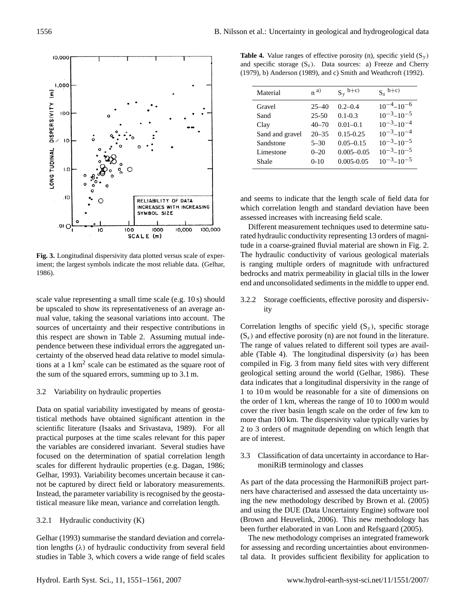

iment; the largest symbols indicate the most reliable data. (Gelhar, is ranging mu **Fig. 3.** Longitudinal dispersivity data plotted versus scale of exper-1986).

sources or uncertainty and their respective contributions in this respect are shown in Table 2. Assuming mutual indescale value representing a small time scale (e.g. 10 s) should be upscaled to show its representativeness of an average annual value, taking the seasonal variations into account. The sources of uncertainty and their respective contributions in pendence between these individual errors the aggregated uncertainty of the observed head data relative to model simulations at a  $1 \text{ km}^2$  scale can be estimated as the square root of the sum of the squared errors, summing up to 3.1 m.

## 3.2 Variability on hydraulic properties

Data on spatial variability investigated by means of geostatistical methods have obtained significant attention in the scientific literature (Isaaks and Srivastava, 1989). For all practical purposes at the time scales relevant for this paper the variables are considered invariant. Several studies have focused on the determination of spatial correlation length scales for different hydraulic properties (e.g. Dagan, 1986; Gelhar, 1993). Variability becomes uncertain because it cannot be captured by direct field or laboratory measurements. Instead, the parameter variability is recognised by the geostatistical measure like mean, variance and correlation length.

## 3.2.1 Hydraulic conductivity (K)

Gelhar (1993) summarise the standard deviation and correlation lengths  $(\lambda)$  of hydraulic conductivity from several field studies in Table 3, which covers a wide range of field scales

**Table 4.** Value ranges of effective porosity (n), specific yield  $(S_y)$ and specific storage  $(S<sub>s</sub>)$ . Data sources: a) Freeze and Cherry (1979), b) Anderson (1989), and c) Smith and Weathcroft (1992).

| Material        | n <sub>a</sub> | $S_v^{b+c}$    | $S_s^{b+c}$         |
|-----------------|----------------|----------------|---------------------|
| Gravel          | $25 - 40$      | $0.2 - 0.4$    | $10^{-4} - 10^{-6}$ |
| Sand            | $25 - 50$      | $0.1 - 0.3$    | $10^{-3} - 10^{-5}$ |
| Clay            | $40 - 70$      | $0.01 - 0.1$   | $10^{-3} - 10^{-4}$ |
| Sand and gravel | $20 - 35$      | $0.15 - 0.25$  | $10^{-3} - 10^{-4}$ |
| Sandstone       | $5 - 30$       | $0.05 - 0.15$  | $10^{-3} - 10^{-5}$ |
| Limestone       | $0 - 20$       | $0.005 - 0.05$ | $10^{-3} - 10^{-5}$ |
| Shale           | $0-10$         | $0.005 - 0.05$ | $10^{-3} - 10^{-5}$ |
|                 |                |                |                     |

and seems to indicate that the length scale of field data for which correlation length and standard deviation have been assessed increases with increasing field scale.

Different measurement techniques used to determine saturated hydraulic conductivity representing 13 orders of magnitude in a coarse-grained fluvial material are shown in Fig. 2. The hydraulic conductivity of various geological materials is ranging multiple orders of magnitude with unfractured bedrocks and matrix permeability in glacial tills in the lower end and unconsolidated sediments in the middle to upper end.

3.2.2 Storage coefficients, effective porosity and dispersivity

Correlation lengths of specific yield  $(S_y)$ , specific storage  $(S<sub>s</sub>)$  and effective porosity (n) are not found in the literature. The range of values related to different soil types are available (Table 4). The longitudinal dispersivity  $(\alpha)$  has been compiled in Fig. 3 from many field sites with very different geological setting around the world (Gelhar, 1986). These data indicates that a longitudinal dispersivity in the range of 1 to 10 m would be reasonable for a site of dimensions on the order of 1 km, whereas the range of 10 to 1000 m would cover the river basin length scale on the order of few km to more than 100 km. The dispersivity value typically varies by 2 to 3 orders of magnitude depending on which length that are of interest.

3.3 Classification of data uncertainty in accordance to HarmoniRiB terminology and classes

As part of the data processing the HarmoniRiB project partners have characterised and assessed the data uncertainty using the new methodology described by Brown et al. (2005) and using the DUE (Data Uncertainty Engine) software tool (Brown and Heuvelink, 2006). This new methodology has been further elaborated in van Loon and Refsgaard (2005).

The new methodology comprises an integrated framework for assessing and recording uncertainties about environmental data. It provides sufficient flexibility for application to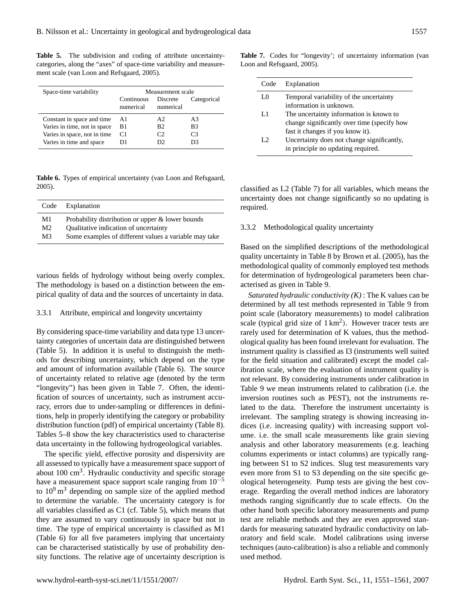**Table 5.** The subdivision and coding of attribute uncertaintycategories, along the "axes" of space-time variability and measurement scale (van Loon and Refsgaard, 2005).

| Space-time variability       | Measurement scale       |                       |                |  |
|------------------------------|-------------------------|-----------------------|----------------|--|
|                              | Continuous<br>numerical | Discrete<br>numerical | Categorical    |  |
| Constant in space and time   | A1                      | A2                    | A <sup>3</sup> |  |
| Varies in time, not in space | B1                      | B2                    | R3             |  |
| Varies in space, not in time | C <sub>1</sub>          | C2                    | $C_3$          |  |
| Varies in time and space     | D1                      | D <sub>2</sub>        | D3             |  |

**Table 6.** Types of empirical uncertainty (van Loon and Refsgaard, 2005).

|                | Code Explanation                                      |
|----------------|-------------------------------------------------------|
| M1             | Probability distribution or upper & lower bounds      |
| M <sub>2</sub> | Qualitative indication of uncertainty                 |
| M3             | Some examples of different values a variable may take |

various fields of hydrology without being overly complex. The methodology is based on a distinction between the empirical quality of data and the sources of uncertainty in data.

#### 3.3.1 Attribute, empirical and longevity uncertainty

By considering space-time variability and data type 13 uncertainty categories of uncertain data are distinguished between (Table 5). In addition it is useful to distinguish the methods for describing uncertainty, which depend on the type and amount of information available (Table 6). The source of uncertainty related to relative age (denoted by the term "longevity") has been given in Table 7. Often, the identification of sources of uncertainty, such as instrument accuracy, errors due to under-sampling or differences in definitions, help in properly identifying the category or probability distribution function (pdf) of empirical uncertainty (Table 8). Tables 5–8 show the key characteristics used to characterise data uncertainty in the following hydrogeological variables.

The specific yield, effective porosity and dispersivity are all assessed to typically have a measurement space support of about 100 cm<sup>3</sup>. Hydraulic conductivity and specific storage have a measurement space support scale ranging from  $10^{-5}$ to  $10^9 \text{ m}^3$  depending on sample size of the applied method to determine the variable. The uncertainty category is for all variables classified as C1 (cf. Table 5), which means that they are assumed to vary continuously in space but not in time. The type of empirical uncertainty is classified as M1 (Table 6) for all five parameters implying that uncertainty can be characterised statistically by use of probability density functions. The relative age of uncertainty description is **Table 7.** Codes for "longevity'; of uncertainty information (van Loon and Refsgaard, 2005).

| Code           | Explanation                                 |
|----------------|---------------------------------------------|
| LΩ             | Temporal variability of the uncertainty     |
|                | information is unknown.                     |
| L1             | The uncertainty information is known to     |
|                | change significantly over time (specify how |
|                | fast it changes if you know it).            |
| L <sub>2</sub> | Uncertainty does not change significantly,  |
|                | in principle no updating required.          |

classified as L2 (Table 7) for all variables, which means the uncertainty does not change significantly so no updating is required.

#### 3.3.2 Methodological quality uncertainty

Based on the simplified descriptions of the methodological quality uncertainty in Table 8 by Brown et al. (2005), has the methodological quality of commonly employed test methods for determination of hydrogeological parameters been characterised as given in Table 9.

*Saturated hydraulic conductivity (K)* : The K values can be determined by all test methods represented in Table 9 from point scale (laboratory measurements) to model calibration scale (typical grid size of  $1 \text{ km}^2$ ). However tracer tests are rarely used for determination of K values, thus the methodological quality has been found irrelevant for evaluation. The instrument quality is classified as I3 (instruments well suited for the field situation and calibrated) except the model calibration scale, where the evaluation of instrument quality is not relevant. By considering instruments under calibration in Table 9 we mean instruments related to calibration (i.e. the inversion routines such as PEST), not the instruments related to the data. Therefore the instrument uncertainty is irrelevant. The sampling strategy is showing increasing indices (i.e. increasing quality) with increasing support volume. i.e. the small scale measurements like grain sieving analysis and other laboratory measurements (e.g. leaching columns experiments or intact columns) are typically ranging between S1 to S2 indices. Slug test measurements vary even more from S1 to S3 depending on the site specific geological heterogeneity. Pump tests are giving the best coverage. Regarding the overall method indices are laboratory methods ranging significantly due to scale effects. On the other hand both specific laboratory measurements and pump test are reliable methods and they are even approved standards for measuring saturated hydraulic conductivity on laboratory and field scale. Model calibrations using inverse techniques (auto-calibration) is also a reliable and commonly used method.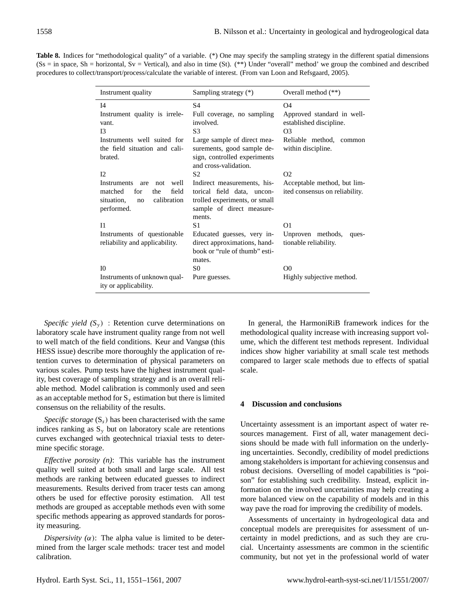**Table 8.** Indices for "methodological quality" of a variable. (\*) One may specify the sampling strategy in the different spatial dimensions  $(Ss = in space, Sh = horizontal, Sv = Vertical)$ , and also in time  $(St)$ . (\*\*) Under "overall" method' we group the combined and described procedures to collect/transport/process/calculate the variable of interest. (From van Loon and Refsgaard, 2005).

| Instrument quality                                    | Sampling strategy (*)         | Overall method $(**)$          |  |
|-------------------------------------------------------|-------------------------------|--------------------------------|--|
| I <sub>4</sub>                                        | S <sub>4</sub>                | 04                             |  |
| Instrument quality is irrele-                         | Full coverage, no sampling    | Approved standard in well-     |  |
| vant.                                                 | involved.                     | established discipline.        |  |
| 13                                                    | S <sub>3</sub>                | O <sup>3</sup>                 |  |
| Instruments well suited for                           | Large sample of direct mea-   | Reliable method, common        |  |
| the field situation and cali-                         | surements, good sample de-    | within discipline.             |  |
| brated.                                               | sign, controlled experiments  |                                |  |
|                                                       | and cross-validation.         |                                |  |
| 12                                                    | S <sub>2</sub>                | O <sub>2</sub>                 |  |
| well<br>Instruments<br>are<br>not                     | Indirect measurements, his-   | Acceptable method, but lim-    |  |
| field<br>matched<br>for<br>the                        | torical field data, uncon-    | ited consensus on reliability. |  |
| situation,<br>calibration<br>no                       | trolled experiments, or small |                                |  |
| performed.                                            | sample of direct measure-     |                                |  |
|                                                       | ments.                        |                                |  |
| $_{11}$                                               | S1                            | O <sub>1</sub>                 |  |
| Instruments of questionable                           | Educated guesses, very in-    | Unproven methods,<br>ques-     |  |
| reliability and applicability.                        | direct approximations, hand-  | tionable reliability.          |  |
|                                                       | book or "rule of thumb" esti- |                                |  |
|                                                       | mates.                        |                                |  |
| <b>IO</b>                                             | S <sub>0</sub>                | O <sub>0</sub>                 |  |
| Instruments of unknown qual-<br>ity or applicability. | Pure guesses.                 | Highly subjective method.      |  |

*Specific yield*  $(S_v)$  : Retention curve determinations on laboratory scale have instrument quality range from not well to well match of the field conditions. Keur and Vangsø (this HESS issue) describe more thoroughly the application of retention curves to determination of physical parameters on various scales. Pump tests have the highest instrument quality, best coverage of sampling strategy and is an overall reliable method. Model calibration is commonly used and seen as an acceptable method for  $S_y$  estimation but there is limited consensus on the reliability of the results.

*Specific storage*  $(S_s)$  has been characterised with the same indices ranking as  $S_y$  but on laboratory scale are retentions curves exchanged with geotechnical triaxial tests to determine specific storage.

*Effective porosity (n)*: This variable has the instrument quality well suited at both small and large scale. All test methods are ranking between educated guesses to indirect measurements. Results derived from tracer tests can among others be used for effective porosity estimation. All test methods are grouped as acceptable methods even with some specific methods appearing as approved standards for porosity measuring.

*Dispersivity* ( $\alpha$ ): The alpha value is limited to be determined from the larger scale methods: tracer test and model calibration.

In general, the HarmoniRiB framework indices for the methodological quality increase with increasing support volume, which the different test methods represent. Individual indices show higher variability at small scale test methods compared to larger scale methods due to effects of spatial scale.

## **4 Discussion and conclusions**

Uncertainty assessment is an important aspect of water resources management. First of all, water management decisions should be made with full information on the underlying uncertainties. Secondly, credibility of model predictions among stakeholders is important for achieving consensus and robust decisions. Overselling of model capabilities is "poison" for establishing such credibility. Instead, explicit information on the involved uncertainties may help creating a more balanced view on the capability of models and in this way pave the road for improving the credibility of models.

Assessments of uncertainty in hydrogeological data and conceptual models are prerequisites for assessment of uncertainty in model predictions, and as such they are crucial. Uncertainty assessments are common in the scientific community, but not yet in the professional world of water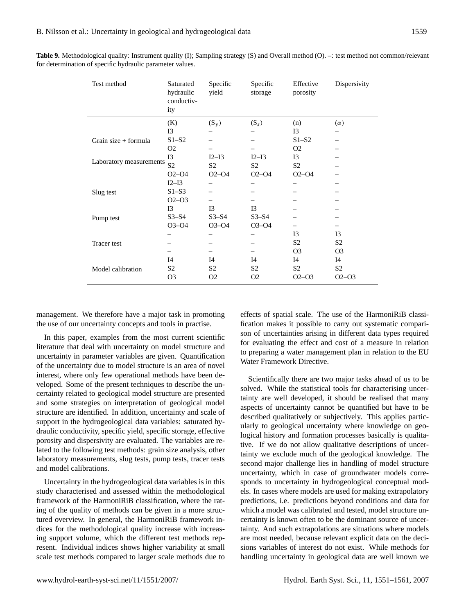| Test method             | Saturated<br>hydraulic<br>conductiv-<br>ity | Specific<br>yield | Specific<br>storage | Effective<br>porosity | Dispersivity   |
|-------------------------|---------------------------------------------|-------------------|---------------------|-----------------------|----------------|
|                         | (K)                                         | $(S_y)$           | (S <sub>s</sub> )   | (n)                   | $(\alpha)$     |
|                         | I3                                          |                   |                     | I <sub>3</sub>        |                |
| Grain size $+$ formula  | $S1-S2$                                     |                   |                     | $S1-S2$               |                |
|                         | O <sub>2</sub>                              |                   |                     | O <sub>2</sub>        |                |
|                         | I <sub>3</sub>                              | $I2-I3$           | $I2-I3$             | <b>I3</b>             |                |
| Laboratory measurements | S <sub>2</sub>                              | S <sub>2</sub>    | S <sub>2</sub>      | S <sub>2</sub>        |                |
|                         | $O2-O4$                                     | $O2 - O4$         | $O2 - O4$           | $O2-O4$               |                |
|                         | $I2-I3$                                     |                   |                     |                       |                |
| Slug test               | $S1-S3$                                     |                   |                     |                       |                |
|                         | $O2-O3$                                     |                   |                     |                       |                |
|                         | I3                                          | I3                | I <sub>3</sub>      |                       |                |
| Pump test               | $S3-S4$                                     | $S3-S4$           | $S3-S4$             |                       |                |
|                         | $O3-O4$                                     | $O3 - O4$         | $O3 - O4$           |                       |                |
|                         |                                             |                   |                     | 13                    | I3             |
| Tracer test             |                                             |                   |                     | S <sub>2</sub>        | S <sub>2</sub> |
|                         |                                             |                   |                     | O <sub>3</sub>        | O <sub>3</sub> |
|                         | I <sub>4</sub>                              | I4                | I <sub>4</sub>      | I4                    | I4             |
| Model calibration       | S <sub>2</sub>                              | S <sub>2</sub>    | S <sub>2</sub>      | S2                    | S <sub>2</sub> |
|                         | O <sub>3</sub>                              | O <sub>2</sub>    | O <sub>2</sub>      | $O2 - O3$             | $O2 - O3$      |

**Table 9.** Methodological quality: Instrument quality (I); Sampling strategy (S) and Overall method (O). –: test method not common/relevant for determination of specific hydraulic parameter values.

management. We therefore have a major task in promoting the use of our uncertainty concepts and tools in practise.

In this paper, examples from the most current scientific literature that deal with uncertainty on model structure and uncertainty in parameter variables are given. Quantification of the uncertainty due to model structure is an area of novel interest, where only few operational methods have been developed. Some of the present techniques to describe the uncertainty related to geological model structure are presented and some strategies on interpretation of geological model structure are identified. In addition, uncertainty and scale of support in the hydrogeological data variables: saturated hydraulic conductivity, specific yield, specific storage, effective porosity and dispersivity are evaluated. The variables are related to the following test methods: grain size analysis, other laboratory measurements, slug tests, pump tests, tracer tests and model calibrations.

Uncertainty in the hydrogeological data variables is in this study characterised and assessed within the methodological framework of the HarmoniRiB classification, where the rating of the quality of methods can be given in a more structured overview. In general, the HarmoniRiB framework indices for the methodological quality increase with increasing support volume, which the different test methods represent. Individual indices shows higher variability at small scale test methods compared to larger scale methods due to effects of spatial scale. The use of the HarmoniRiB classification makes it possible to carry out systematic comparison of uncertainties arising in different data types required for evaluating the effect and cost of a measure in relation to preparing a water management plan in relation to the EU Water Framework Directive.

Scientifically there are two major tasks ahead of us to be solved. While the statistical tools for characterising uncertainty are well developed, it should be realised that many aspects of uncertainty cannot be quantified but have to be described qualitatively or subjectively. This applies particularly to geological uncertainty where knowledge on geological history and formation processes basically is qualitative. If we do not allow qualitative descriptions of uncertainty we exclude much of the geological knowledge. The second major challenge lies in handling of model structure uncertainty, which in case of groundwater models corresponds to uncertainty in hydrogeological conceptual models. In cases where models are used for making extrapolatory predictions, i.e. predictions beyond conditions and data for which a model was calibrated and tested, model structure uncertainty is known often to be the dominant source of uncertainty. And such extrapolations are situations where models are most needed, because relevant explicit data on the decisions variables of interest do not exist. While methods for handling uncertainty in geological data are well known we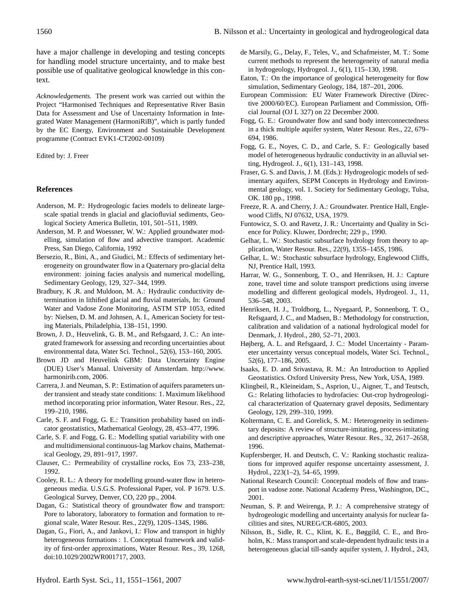have a major challenge in developing and testing concepts for handling model structure uncertainty, and to make best possible use of qualitative geological knowledge in this context.

*Acknowledgements.* The present work was carried out within the Project "Harmonised Techniques and Representative River Basin Data for Assessment and Use of Uncertainty Information in Integrated Water Management (HarmoniRiB)", which is partly funded by the EC Energy, Environment and Sustainable Development programme (Contract EVK1-CT2002-00109)

Edited by: J. Freer

## **References**

- Anderson, M. P.: Hydrogeologic facies models to delineate largescale spatial trends in glacial and glaciofluvial sediments, Geological Society America Bulletin, 101, 501–511, 1989.
- Anderson, M. P. and Woessner, W. W.: Applied groundwater modelling, simulation of flow and advective transport. Academic Press, San Diego, California, 1992
- Bersezio, R., Bini, A., and Giudici, M.: Effects of sedimentary heterogeneity on groundwater flow in a Quaternary pro-glacial delta environment: joining facies analysis and numerical modelling, Sedimentary Geology, 129, 327–344, 1999.
- Bradbury, K .R. and Muldoon, M. A.: Hydraulic conductivity determination in lithified glacial and fluvial materials, In: Ground Water and Vadose Zone Monitoring, ASTM STP 1053, edited by: Nielsen, D. M. and Johnsen, A. I., American Society for testing Materials, Philadelphia, 138–151, 1990.
- Brown, J. D., Heuvelink, G. B. M., and Refsgaard, J. C.: An integrated framework for assessing and recording uncertainties about environmental data, Water Sci. Technol., 52(6), 153–160, 2005.
- Brown JD and Heuvelink GBM: Data Uncertainty Engine (DUE) User's Manual. University of Amsterdam. [http://www.](http://www.harmonirib.com) [harmonirib.com,](http://www.harmonirib.com) 2006.
- Carrera, J. and Neuman, S. P.: Estimation of aquifers parameters under transient and steady state conditions: 1. Maximum likelihood method incorporating prior information, Water Resour. Res., 22, 199–210, 1986.
- Carle, S. F. and Fogg, G. E.: Transition probability based on indicator geostatistics, Mathematical Geology, 28, 453–477, 1996.
- Carle, S. F. and Fogg, G. E.: Modelling spatial variability with one and multidimensional continuous-lag Markov chains, Mathematical Geology, 29, 891–917, 1997.
- Clauser, C.: Permeability of crystalline rocks, Eos 73, 233–238, 1992.
- Cooley, R. L.: A theory for modelling ground-water flow in heterogeneous media. U.S.G.S. Professional Paper, vol. P 1679. U.S. Geological Survey, Denver, CO, 220 pp., 2004.
- Dagan, G.: Statistical theory of groundwater flow and transport: Pore to laboratory, laboratory to formation and formation to regional scale, Water Resour. Res., 22(9), 120S–134S, 1986.
- Dagan, G., Fiori, A., and Jankovi, I.: Flow and transport in highly heterogeneous formations : 1. Conceptual framework and validity of first-order approximations, Water Resour. Res., 39, 1268, doi:10.1029/2002WR001717, 2003.
- de Marsily, G., Delay, F., Teles, V., and Schafmeister, M. T.: Some current methods to represent the heterogeneity of natural media in hydrogeology, Hydrogeol. J., 6(1), 115–130, 1998.
- Eaton, T.: On the importance of geological heterogeneity for flow simulation, Sedimentary Geology, 184, 187–201, 2006.
- European Commission: EU Water Framework Directive (Directive 2000/60/EC). European Parliament and Commission, Official Journal (OJ L 327) on 22 December 2000.
- Fogg, G. E.: Groundwater flow and sand body interconnectedness in a thick multiple aquifer system, Water Resour. Res., 22, 679– 694, 1986.
- Fogg, G. E., Noyes, C. D., and Carle, S. F.: Geologically based model of heterogeneous hydraulic conductivity in an alluvial setting, Hydrogeol. J., 6(1), 131–143, 1998.
- Fraser, G. S. and Davis, J. M. (Eds.): Hydrogeologic models of sedimentary aquifers, SEPM Concepts in Hydrology and Environmental geology, vol. 1. Society for Sedimentary Geology, Tulsa, OK. 180 pp., 1998.
- Freeze, R. A. and Cherry, J. A.: Groundwater. Prentice Hall, Englewood Cliffs, NJ 07632, USA, 1979.
- Funtowicz, S. O. and Ravetz, J. R.: Uncertainty and Quality in Science for Policy. Kluwer, Dordrecht; 229 p., 1990.
- Gelhar, L. W.: Stochastic subsurface hydrology from theory to application, Water Resour. Res., 22(9), 135S–145S, 1986.
- Gelhar, L. W.: Stochastic subsurface hydrology, Englewood Cliffs, NJ, Prentice Hall, 1993.
- Harrar, W. G., Sonnenborg, T. O., and Henriksen, H. J.: Capture zone, travel time and solute transport predictions using inverse modelling and different geological models, Hydrogeol. J., 11, 536–548, 2003.
- Henriksen, H. J., Troldborg, L., Nyegaard, P., Sonnenborg, T. O., Refsgaard, J. C., and Madsen, B.: Methodology for construction, calibration and validation of a national hydrological model for Denmark, J. Hydrol., 280, 52–71, 2003.
- Højberg, A. L. and Refsgaard, J. C.: Model Uncertainty Parameter uncertainty versus conceptual models, Water Sci. Technol., 52(6), 177–186, 2005.
- Isaaks, E. D. and Srivastava, R. M.: An Introduction to Applied Geostatistics. Oxford University Press, New York, USA, 1989.
- Klingbeil, R., Kleineidam, S., Asprion, U., Aigner, T., and Teutsch, G.: Relating lithofacies to hydrofacies: Out-crop hydrogeological characterization of Quaternary gravel deposits, Sedimentary Geology, 129, 299–310, 1999.
- Koltermann, C. E. and Gorelick, S. M.: Heterogeneity in sedimentary deposits: A review of structure-imitating, process-imitating and descriptive approaches, Water Resour. Res., 32, 2617–2658, 1996.
- Kupfersberger, H. and Deutsch, C. V.: Ranking stochastic realizations for improved aquifer response uncertainty assessment, J. Hydrol., 223(1–2), 54–65, 1999.
- National Research Council: Conceptual models of flow and transport in vadose zone. National Academy Press, Washington, DC., 2001.
- Neuman, S. P. and Weirenga, P. J.: A comprehensive strategy of hydrogeologic modelling and uncertainty analysis for nuclear facilities and sites, NUREG/CR-6805, 2003.
- Nilsson, B., Sidle, R. C., Klint, K. E., Bøggild, C. E., and Broholm, K.: Mass transport and scale-dependent hydraulic tests in a heterogeneous glacial till-sandy aquifer system, J. Hydrol., 243,